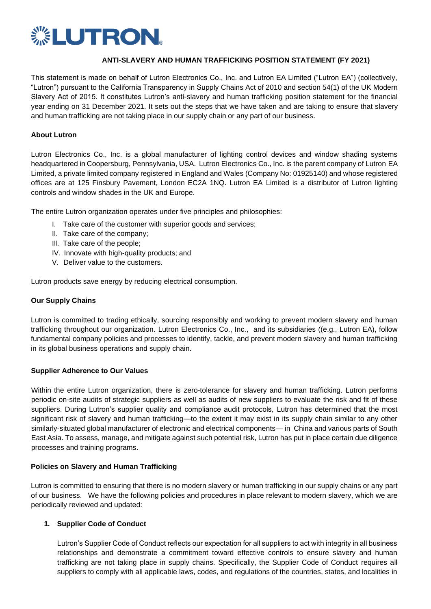

## **ANTI-SLAVERY AND HUMAN TRAFFICKING POSITION STATEMENT (FY 2021)**

This statement is made on behalf of Lutron Electronics Co., Inc. and Lutron EA Limited ("Lutron EA") (collectively, "Lutron") pursuant to the California Transparency in Supply Chains Act of 2010 and section 54(1) of the UK Modern Slavery Act of 2015. It constitutes Lutron's anti-slavery and human trafficking position statement for the financial year ending on 31 December 2021. It sets out the steps that we have taken and are taking to ensure that slavery and human trafficking are not taking place in our supply chain or any part of our business.

## **About Lutron**

Lutron Electronics Co., Inc. is a global manufacturer of lighting control devices and window shading systems headquartered in Coopersburg, Pennsylvania, USA. Lutron Electronics Co., Inc. is the parent company of Lutron EA Limited, a private limited company registered in England and Wales (Company No: 01925140) and whose registered offices are at 125 Finsbury Pavement, London EC2A 1NQ. Lutron EA Limited is a distributor of Lutron lighting controls and window shades in the UK and Europe.

The entire Lutron organization operates under five principles and philosophies:

- I. Take care of the customer with superior goods and services;
- II. Take care of the company;
- III. Take care of the people;
- IV. Innovate with high-quality products; and
- V. Deliver value to the customers.

Lutron products save energy by reducing electrical consumption.

#### **Our Supply Chains**

Lutron is committed to trading ethically, sourcing responsibly and working to prevent modern slavery and human trafficking throughout our organization. Lutron Electronics Co., Inc., and its subsidiaries ((e.g., Lutron EA), follow fundamental company policies and processes to identify, tackle, and prevent modern slavery and human trafficking in its global business operations and supply chain.

## **Supplier Adherence to Our Values**

Within the entire Lutron organization, there is zero-tolerance for slavery and human trafficking. Lutron performs periodic on-site audits of strategic suppliers as well as audits of new suppliers to evaluate the risk and fit of these suppliers. During Lutron's supplier quality and compliance audit protocols, Lutron has determined that the most significant risk of slavery and human trafficking—to the extent it may exist in its supply chain similar to any other similarly-situated global manufacturer of electronic and electrical components— in China and various parts of South East Asia. To assess, manage, and mitigate against such potential risk, Lutron has put in place certain due diligence processes and training programs.

## **Policies on Slavery and Human Trafficking**

Lutron is committed to ensuring that there is no modern slavery or human trafficking in our supply chains or any part of our business. We have the following policies and procedures in place relevant to modern slavery, which we are periodically reviewed and updated:

## **1. Supplier Code of Conduct**

Lutron's Supplier Code of Conduct reflects our expectation for all suppliers to act with integrity in all business relationships and demonstrate a commitment toward effective controls to ensure slavery and human trafficking are not taking place in supply chains. Specifically, the Supplier Code of Conduct requires all suppliers to comply with all applicable laws, codes, and regulations of the countries, states, and localities in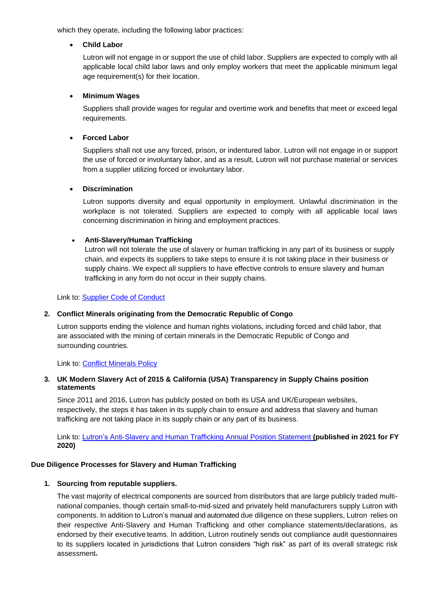which they operate, including the following labor practices:

## • **Child Labor**

Lutron will not engage in or support the use of child labor. Suppliers are expected to comply with all applicable local child labor laws and only employ workers that meet the applicable minimum legal age requirement(s) for their location.

## • **Minimum Wages**

Suppliers shall provide wages for regular and overtime work and benefits that meet or exceed legal requirements.

## • **Forced Labor**

Suppliers shall not use any forced, prison, or indentured labor. Lutron will not engage in or support the use of forced or involuntary labor, and as a result, Lutron will not purchase material or services from a supplier utilizing forced or involuntary labor.

## • **Discrimination**

Lutron supports diversity and equal opportunity in employment. Unlawful discrimination in the workplace is not tolerated. Suppliers are expected to comply with all applicable local laws concerning discrimination in hiring and employment practices.

## • **Anti-Slavery/Human Trafficking**

Lutron will not tolerate the use of slavery or human trafficking in any part of its business or supply chain, and expects its suppliers to take steps to ensure it is not taking place in their business or supply chains. We expect all suppliers to have effective controls to ensure slavery and human trafficking in any form do not occur in their supply chains.

Link to: [Supplier Code of Conduct](http://www.lutron.com/en-US/general/Pages/suppliertermsconditions/suppliercodeofconduct.aspx)

## **2. Conflict Minerals originating from the Democratic Republic of Congo**

Lutron supports ending the violence and human rights violations, including forced and child labor, that are associated with the mining of certain minerals in the Democratic Republic of Congo and surrounding countries.

Link to: [Conflict Minerals Policy](http://www.lutron.com/en-US/general/Documents/SupplierTermsConditions/Supplier%20Terms%20and%20Condition/Conflict_Minerals_Policy_Statement.pdf)

# **3. UK Modern Slavery Act of 2015 & California (USA) Transparency in Supply Chains position statements**

Since 2011 and 2016, Lutron has publicly posted on both its USA and UK/European websites, respectively, the steps it has taken in its supply chain to ensure and address that slavery and human trafficking are not taking place in its supply chain or any part of its business.

Link to: [Lutron's Anti-Slavery and Human Trafficking Annual Position](https://www.lutron.com/TechnicalDocumentLibrary/Lutron_FY_2020_Anti-Slavery_and_Human_Trafficking_Position_Statement_3.18.21_US.pdf) Statement **(published in 2021 for FY 2020)**

# **Due Diligence Processes for Slavery and Human Trafficking**

# **1. Sourcing from reputable suppliers.**

The vast majority of electrical components are sourced from distributors that are large publicly traded multinational companies, though certain small-to-mid-sized and privately held manufacturers supply Lutron with components. In addition to Lutron's manual and automated due diligence on these suppliers, Lutron relies on their respective Anti-Slavery and Human Trafficking and other compliance statements/declarations, as endorsed by their executive teams. In addition, Lutron routinely sends out compliance audit questionnaires to its suppliers located in jurisdictions that Lutron considers "high risk" as part of its overall strategic risk assessment.